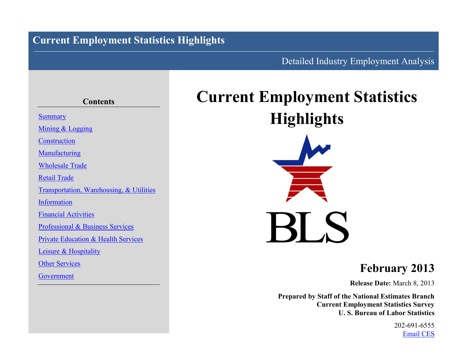# **Current Employment Statistics Highlights**

# Detailed Industry Employment Analysis

# **Contents [Summary](#page-1-0)** [Mining](#page-4-0) & [Logging](#page-4-0) **[Construction](#page-5-0) [Manufacturing](#page-8-0)** [Wholesale](#page-9-0) Trade [Retail](#page-10-0) Trade [Transportation, Warehousing,](#page-12-0) & [Utilities](#page-13-0) [Information](#page-14-0) [Financial](#page-15-0) [Activities](#page-15-0) [Professional](#page-16-0) & [Business](#page-16-0) Services [Private](#page-18-0) [Education](#page-18-0) & [Health](#page-18-0) Services [Leisure](#page-19-0) & [Hospitality](#page-19-0) [Other](#page-20-0) Services [Government](#page-21-0)

# **Current Employment Statistics Highlights**



# **February 2013**

**Release Date:** March 8, 2013

**Prepared by Staff of the National Estimates Branch Current Employment Statistics Survey U. S. Bureau of Labor Statistics**

> 202-691-6555 [Email CES](http://data.bls.gov/cgi-bin/forms/ces?/ces/home.htm)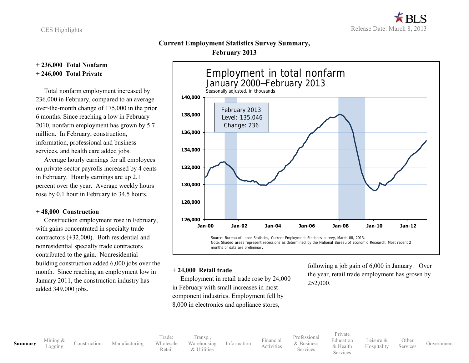### **Current Employment Statistics Survey Summary, February 2013**

### <span id="page-1-0"></span>**+ 236,000 Total Nonfarm + 246,000 Total Private**

 Total nonfarm employment increased by 236,000 in February, compared to an average over-the-month change of 175,000 in the prior 6 months. Since reaching a low in February 2010, nonfarm employment has grown by 5.7 million. In February, construction, information, professional and business services, and health care added jobs.

 Average hourly earnings for all employees on private-sector payrolls increased by 4 cents in February. Hourly earnings are up 2.1 percent over the year. Average weekly hours rose by 0.1 hour in February to 34.5 hours.

### **+ 48,000 Construction**

 Construction employment rose in February, with gains concentrated in specialty trade contractors (+32,000). Both residential and nonresidential specialty trade contractors contributed to the gain. Nonresidential building construction added 6,000 jobs over the month. Since reaching an employment low in January 2011, the construction industry has added 349,000 jobs.



### **+ 24,000 Retail trade**

 Employment in retail trade rose by 24,000 in February with small increases in most component industries. Employment fell by 8,000 in electronics and appliance stores,

following a job gain of 6,000 in January. Over the year, retail trade employment has grown by 252,000.

**[Summary](#page-1-0)** [Mining](#page-4-0) &

[Construction](#page-5-0) [Manufacturing](#page-8-0)

Trade: [Wholesale](#page-9-0) [Retail](#page-10-0) [Transp.](#page-12-0), [Warehousing](#page-12-0) & [Utilities](#page-13-0)

[Information](#page-14-0) [Financial](#page-15-0)

[Professional](#page-16-0) & [Business](#page-16-0) Services

[Activities](#page-15-0)

[Private](#page-18-0) [Education](#page-18-0) [& Health](#page-18-0) Services

[Leisure](#page-19-0) & [Hospitality](#page-19-0) **[Other](#page-20-0)**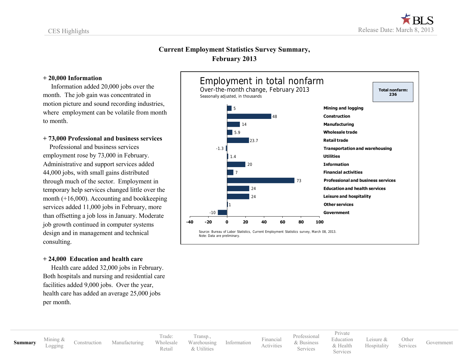### **Current Employment Statistics Survey Summary, February 2013**

### **+ 20,000 Information**

 Information added 20,000 jobs over the month. The job gain was concentrated in motion picture and sound recording industries, where employment can be volatile from month to month.

### **+ 73,000 Professional and business services**

 Professional and business services employment rose by 73,000 in February. Administrative and support services added 44,000 jobs, with small gains distributed through much of the sector. Employment in temporary help services changed little over the month (+16,000). Accounting and bookkeeping services added 11,000 jobs in February, more than offsetting a job loss in January. Moderate job growth continued in computer systems design and in management and technical consulting.

### **+ 24,000 Education and health care**

 Health care added 32,000 jobs in February. Both hospitals and nursing and residential care facilities added 9,000 jobs. Over the year, health care has added an average 25,000 jobs per month.



# **[Summary](#page-1-0)** [Mining](#page-4-0) &

[Construction](#page-5-0) [Manufacturing](#page-8-0)

Trade: [Wholesale](#page-9-0) [Retail](#page-10-0)

[Transp.](#page-12-0), [Warehousing](#page-12-0) & [Utilities](#page-13-0)

[Information](#page-14-0) [Financial](#page-15-0) [Activities](#page-15-0) [Professional](#page-16-0) & [Business](#page-16-0) Services

[Private](#page-18-0) [Education](#page-18-0) [& Health](#page-18-0) Services [Leisure](#page-19-0) & [Hospitality](#page-19-0)

**[Other](#page-20-0)** Services [Government](#page-21-0)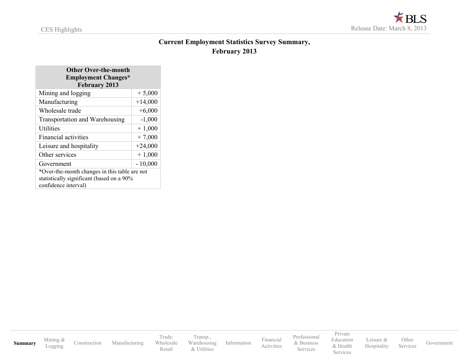

### **Current Employment Statistics Survey Summary, February 2013**

| <b>Other Over-the-month</b>                   |           |  |  |  |  |
|-----------------------------------------------|-----------|--|--|--|--|
| <b>Employment Changes*</b>                    |           |  |  |  |  |
| <b>February 2013</b>                          |           |  |  |  |  |
| Mining and logging                            | $+5,000$  |  |  |  |  |
| Manufacturing                                 | $+14,000$ |  |  |  |  |
| Wholesale trade                               | $+6,000$  |  |  |  |  |
| <b>Transportation and Warehousing</b>         | $-1,000$  |  |  |  |  |
| <b>Utilities</b>                              | $+1,000$  |  |  |  |  |
| <b>Financial activities</b>                   | $+7,000$  |  |  |  |  |
| Leisure and hospitality                       | $+24,000$ |  |  |  |  |
| Other services                                | $+1,000$  |  |  |  |  |
| Government                                    | $-10,000$ |  |  |  |  |
| *Over-the-month changes in this table are not |           |  |  |  |  |
| statistically significant (based on a 90%     |           |  |  |  |  |
| confidence interval)                          |           |  |  |  |  |

**[Summary](#page-1-0)** [Mining](#page-4-0) & [Construction](#page-5-0) [Manufacturing](#page-8-0) Trade: [Wholesale](#page-9-0) [Retail](#page-10-0) [Transp.](#page-12-0), [Warehousing](#page-12-0) & [Utilities](#page-13-0) [Information](#page-14-0) [Financial](#page-15-0) [Activities](#page-15-0) [Professional](#page-16-0) & [Business](#page-16-0) Services [Private](#page-18-0) [Education](#page-18-0) [& Health](#page-18-0) Services [Leisure](#page-19-0) & [Hospitality](#page-19-0) [Other](#page-20-0) Services [Government](#page-21-0)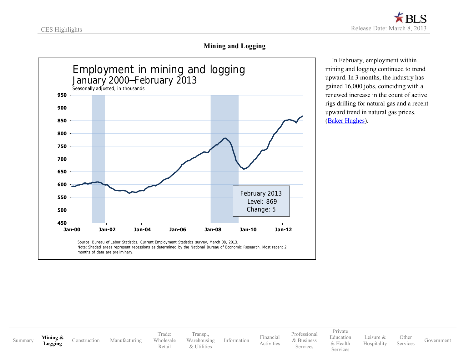

### **Mining and Logging**

<span id="page-4-0"></span>

 In February, employment within mining and logging continued to trend upward. In 3 months, the industry has gained 16,000 jobs, coinciding with a renewed increase in the count of active rigs drilling for natural gas and a recent upward trend in natural gas prices. [\(Baker Hughes\)](http://www.bakerhughes.com/).

[Summary](#page-1-0) **[Mining](#page-4-0) &** 

**[Logging](#page-4-0)** [Construction](#page-5-0) [Manufacturing](#page-8-0)

Trade: [Wholesale](#page-9-0) [Retail](#page-10-0)

[Transp.](#page-12-0), [Warehousing](#page-12-0) & [Utilities](#page-13-0)

[Information](#page-14-0) [Financial](#page-15-0) [Activities](#page-15-0) [Professional](#page-16-0) & [Business](#page-16-0) Services

[Private](#page-18-0) [Education](#page-18-0) [& Health](#page-18-0) Services

[Leisure](#page-19-0) & [Hospitality](#page-19-0) **[Other](#page-20-0)**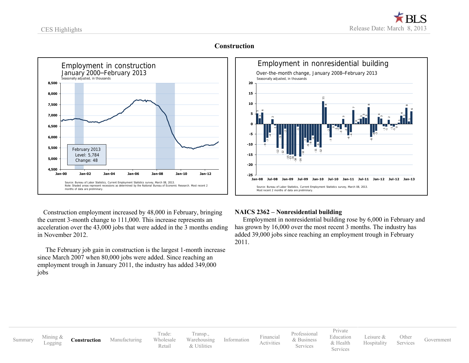<span id="page-5-0"></span>

### **Construction**



 Construction employment increased by 48,000 in February, bringing the current 3-month change to 111,000. This increase represents an acceleration over the 43,000 jobs that were added in the 3 months ending in November 2012.

 The February job gain in construction is the largest 1-month increase since March 2007 when 80,000 jobs were added. Since reaching an employment trough in January 2011, the industry has added 349,000 jobs

### 5-9 -7 -4 -1  $\tilde{e}$ -51 - १  $\sim$   $-$ -15  $\stackrel{1}{\leftarrow}$ -16  $\frac{1}{2}$ -1  $\frac{1}{2}$  $\frac{12}{1}$ -7 -9 -91 -91  $\frac{1}{11}$ -9  $-12$  11  $\sim$   $-$ -7 -1  $\sim$   $-$ -9 -2 -6 -4 -6 -4  $\frac{3}{2}$ 77  $\sim$ -1 55 **-25 -20 -15 -10 -5 0 5 10 15 20 Jan-08 Jul-08 Jan-09 Jul-09 Jan-10 Jul-10 Jan-11 Jul-11 Jan-12 Jul-12 Jan-13** Employment in nonresidential building Over-the-month change, January 2008–February 2013 Source: Bureau of Labor Statistics, Current Employment Statistics survey, March 08, 2013. Most recent 2 months of data are preliminary. Seasonally adjusted, in thousands

### **NAICS 2362 – Nonresidential building**

 Employment in nonresidential building rose by 6,000 in February and has grown by 16,000 over the most recent 3 months. The industry has added 39,000 jobs since reaching an employment trough in February 2011.

[Summary](#page-1-0) [Mining](#page-4-0) &<br>Logging

**[Construction](#page-5-0)** [Manufacturing](#page-8-0)

Trade: [Wholesale](#page-9-0) [Retail](#page-10-0)

[Transp.](#page-12-0), [Warehousing](#page-12-0) & [Utilities](#page-13-0)

[Information](#page-14-0) [Financial](#page-15-0) [Activities](#page-15-0) [Professional](#page-16-0) & [Business](#page-16-0) Services

[Private](#page-18-0) [Education](#page-18-0) [& Health](#page-18-0)

Services

[Leisure](#page-19-0) & [Hospitality](#page-19-0) [Other](#page-20-0)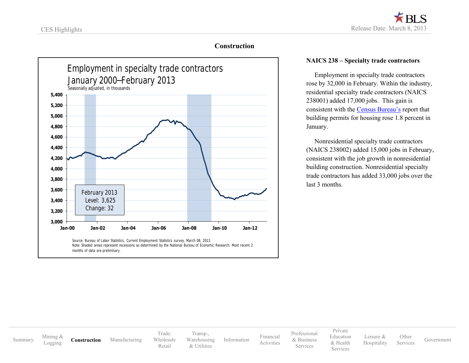### **Construction**



### **NAICS 238 – Specialty trade contractors**

 Employment in specialty trade contractors rose by 32,000 in February. Within the industry, residential specialty trade contractors (NAICS 238001) added 17,000 jobs. This gain is consistent with the [Census Bureau's](http://www.census.gov/construction/nrc/pdf/newresconst.pdf) report that building permits for housing rose 1.8 percent in January.

 Nonresidential specialty trade contractors (NAICS 238002) added 15,000 jobs in February, consistent with the job growth in nonresidential building construction. Nonresidential specialty trade contractors has added 33,000 jobs over the last 3 months.

[Summary](#page-1-0) [Mining](#page-4-0) &

**[Construction](#page-5-0)** [Manufacturing](#page-8-0)

Trade: [Wholesale](#page-9-0) [Retail](#page-10-0) [Transp.](#page-12-0), [Warehousing](#page-12-0) & [Utilities](#page-13-0)

[Information](#page-14-0) [Financial](#page-15-0)

[Professional](#page-16-0) & [Business](#page-16-0) Services

[Activities](#page-15-0)

[Private](#page-18-0) [Education](#page-18-0) [& Health](#page-18-0) Services

[Leisure](#page-19-0) & [Hospitality](#page-19-0) [Other](#page-20-0)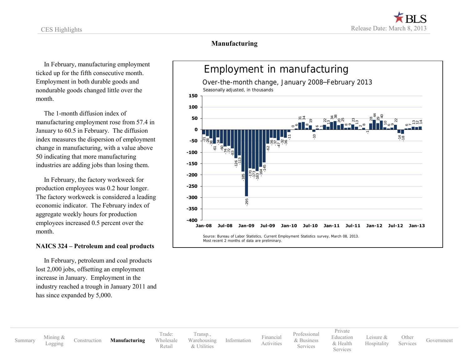### **Manufacturing**

 In February, manufacturing employment ticked up for the fifth consecutive month. Employment in both durable goods and nondurable goods changed little over the month.

 The 1-month diffusion index of manufacturing employment rose from 57.4 in January to 60.5 in February. The diffusion index measures the dispersion of employment change in manufacturing, with a value above 50 indicating that more manufacturing industries are adding jobs than losing them.

 In February, the factory workweek for production employees was 0.2 hour longer. The factory workweek is considered a leading economic indicator. The February index of aggregate weekly hours for production employees increased 0.5 percent over the month.

### **NAICS 324 – Petroleum and coal products**

 In February, petroleum and coal products lost 2,000 jobs, offsetting an employment increase in January. Employment in the industry reached a trough in January 2011 and has since expanded by 5,000.



[Construction](#page-5-0) **[Manufacturing](#page-8-0)** 

Trade: [Wholesale](#page-9-0) [Retail](#page-10-0) [Transp.](#page-12-0), [Warehousing](#page-12-0) & [Utilities](#page-13-0)

[Information](#page-14-0) [Financial](#page-15-0) [Activities](#page-15-0)

[Professional](#page-16-0) & [Business](#page-16-0) Services

[Private](#page-18-0) [Education](#page-18-0) [& Health](#page-18-0) **Services** [Leisure](#page-19-0) & [Hospitality](#page-19-0)

**[Other](#page-20-0)** Services [Government](#page-21-0)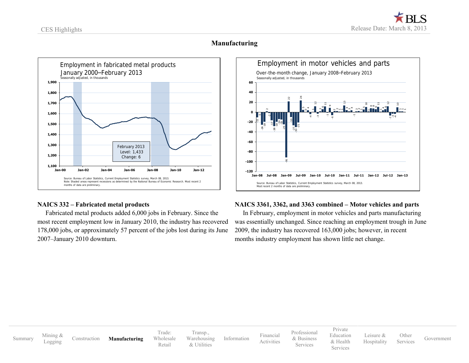### **Manufacturing**

<span id="page-8-0"></span>

### **NAICS 332 – Fabricated metal products**

 Fabricated metal products added 6,000 jobs in February. Since the most recent employment low in January 2010, the industry has recovered 178,000 jobs, or approximately 57 percent of the jobs lost during its June 2007–January 2010 downturn.

### $\equiv$  1  $\frac{26}{2}$  $\frac{1}{2}$ -2 -17  $\frac{28}{2}$ ት :  $\frac{1}{4}$ -15  $\approx$  5  $-91$   $-92$ -10 م<br>- 2 -30  $-21$   $-34$ -4  $\frac{12}{1}$ -3 5.  $\ddot{\phantom{1}}$  $\frac{1}{3}$ \* :<br>1999 - أو- 22 -1 11<br>11 4 $\frac{12}{1}$ -7 -34 ة<br>-**-120 -100 -80 -60 -40 -20 0 20 40 60 Jan-08 Jul-08 Jan-09 Jul-09 Jan-10 Jul-10 Jan-11 Jul-11 Jan-12 Jul-12 Jan-13** Employment in motor vehicles and parts Over-the-month change, January 2008–February 2013 Source: Bureau of Labor Statistics, Current Employment Statistics survey, March 08, 2013. Most recent 2 months of data are preliminary Seasonally adjusted, in thousands

### **NAICS 3361, 3362, and 3363 combined – Motor vehicles and parts**

 In February, employment in motor vehicles and parts manufacturing was essentially unchanged. Since reaching an employment trough in June 2009, the industry has recovered 163,000 jobs; however, in recent months industry employment has shown little net change.

[Summary](#page-1-0) [Mining](#page-4-0) &<br>Logging [Logging](#page-4-0) [Construction](#page-5-0) **[Manufacturing](#page-8-0)** Trade: [Wholesale](#page-9-0) [Retail](#page-10-0) [Transp.](#page-12-0), [Warehousing](#page-12-0) & [Utilities](#page-13-0) [Information](#page-14-0) [Financial](#page-15-0) [Activities](#page-15-0) [Professional](#page-16-0) & [Business](#page-16-0) **Services** [Private](#page-18-0) [Education](#page-18-0) [& Health](#page-18-0) Services [Leisure](#page-19-0) & [Hospitality](#page-19-0) **[Other](#page-20-0)** Services [Government](#page-21-0)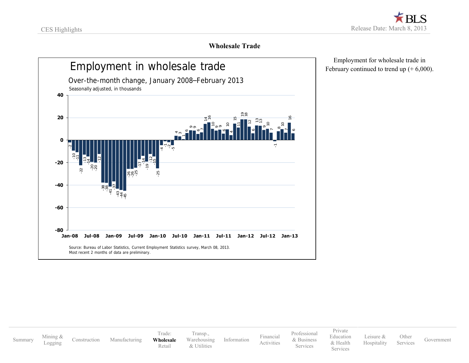

### **Wholesale Trade**

<span id="page-9-0"></span>

 Employment for wholesale trade in February continued to trend up  $(+6,000)$ .

[Summary](#page-1-0) [Mining](#page-4-0) &<br>Logging [Construction](#page-5-0) [Manufacturing](#page-8-0) Trade: **[Wholesale](#page-9-0)** [Retail](#page-10-0) [Transp.](#page-12-0), [Warehousing](#page-12-0) & [Utilities](#page-13-0) [Information](#page-14-0) [Financial](#page-15-0) [Activities](#page-15-0) [Professional](#page-16-0) & [Business](#page-16-0) Services [Private](#page-18-0) [Education](#page-18-0) [& Health](#page-18-0) Services [Leisure](#page-19-0) & [Hospitality](#page-19-0) [Other](#page-20-0)<br>Services [Government](#page-21-0)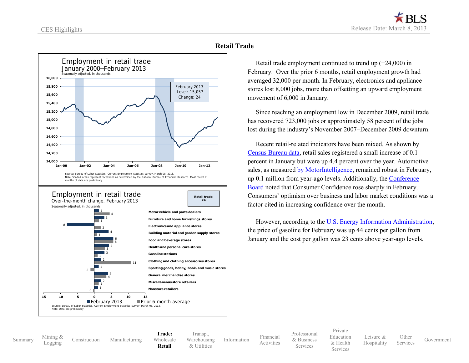<span id="page-10-0"></span>

### **Retail Trade**

 Retail trade employment continued to trend up (+24,000) in February. Over the prior 6 months, retail employment growth had averaged 32,000 per month. In February, electronics and appliance stores lost 8,000 jobs, more than offsetting an upward employment movement of 6,000 in January.

 Since reaching an employment low in December 2009, retail trade has recovered 723,000 jobs or approximately 58 percent of the jobs lost during the industry's November 2007–December 2009 downturn.

 Recent retail-related indicators have been mixed. As shown by [Census Bureau data,](http://www.census.gov/retail/) retail sales registered a small increase of 0.1 percent in January but were up 4.4 percent over the year. Automotive sales, as measured [by MotorIntelligence,](http://www.motorintelligence.com/m_frameset.html) remained robust in February, up 0.1 million from year-ago levels. Additionally, the [Conference](http://www.conference-board.org/data/consumerconfidence.cfm)  [Board](http://www.conference-board.org/data/consumerconfidence.cfm) noted that Consumer Confidence rose sharply in February. Consumers' optimism over business and labor market conditions was a factor cited in increasing confidence over the month.

 However, according to the [U.S. Energy Information Administration,](http://www.eia.gov/petroleum/gasdiesel/) the price of gasoline for February was up 44 cents per gallon from January and the cost per gallon was 23 cents above year-ago levels.

[Summary](#page-1-0) [Mining](#page-4-0) &<br>Logging

[Construction](#page-5-0) [Manufacturing](#page-8-0)

**Trade:** [Wholesale](#page-9-0) **[Retail](#page-10-0)**

[Transp.](#page-12-0), [Warehousing](#page-12-0) & [Utilities](#page-13-0)

[Information](#page-14-0) [Financial](#page-15-0) [Activities](#page-15-0) [Professional](#page-16-0) & [Business](#page-16-0) Services

[Private](#page-18-0) [Education](#page-18-0) [& Health](#page-18-0)

Services

[Leisure](#page-19-0) & [Hospitality](#page-19-0)

[Other](#page-20-0)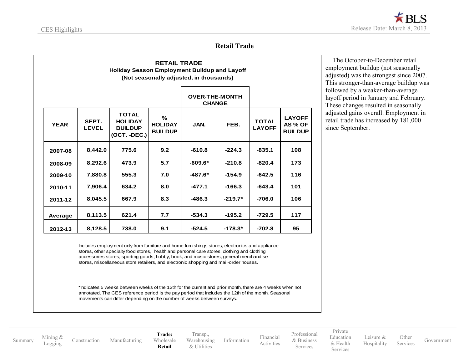### **Retail Trade**

|             |                       |                                                                    |                                       | <b>OVER-THE-MONTH</b><br><b>CHANGE</b> |           |                               |                                            |
|-------------|-----------------------|--------------------------------------------------------------------|---------------------------------------|----------------------------------------|-----------|-------------------------------|--------------------------------------------|
| <b>YEAR</b> | SEPT.<br><b>LEVEL</b> | <b>TOTAL</b><br><b>HOLIDAY</b><br><b>BUILDUP</b><br>$(OCT. -DEC.)$ | %<br><b>HOLIDAY</b><br><b>BUILDUP</b> | JAN.                                   | FEB.      | <b>TOTAL</b><br><b>LAYOFF</b> | <b>LAYOFF</b><br>AS % OF<br><b>BUILDUP</b> |
| 2007-08     | 8,442.0               | 775.6                                                              | 9.2                                   | $-610.8$                               | $-224.3$  | $-835.1$                      | 108                                        |
| 2008-09     | 8,292.6               | 473.9                                                              | 5.7                                   | $-609.6*$                              | $-210.8$  | $-820.4$                      | 173                                        |
| 2009-10     | 7,880.8               | 555.3                                                              | 7.0                                   | $-487.6*$                              | $-154.9$  | $-642.5$                      | 116                                        |
| 2010-11     | 7.906.4               | 634.2                                                              | 8.0                                   | $-477.1$                               | $-166.3$  | $-643.4$                      | 101                                        |
| 2011-12     | 8,045.5               | 667.9                                                              | 8.3                                   | $-486.3$                               | $-219.7*$ | $-706.0$                      | 106                                        |
| Average     | 8,113.5               | 621.4                                                              | 7.7                                   | $-534.3$                               | $-195.2$  | $-729.5$                      | 117                                        |
| 2012-13     | 8,128.5               | 738.0                                                              | 9.1                                   | $-524.5$                               | $-178.3*$ | $-702.8$                      | 95                                         |

 The October-to-December retail employment buildup (not seasonally adjusted) was the strongest since 2007. This stronger-than-average buildup was followed by a weaker-than-average layoff period in January and February. These changes resulted in seasonally adjusted gains overall. Employment in retail trade has increased by 181,000 since September.

Includes employment only from furniture and home furnishings stores, electronics and appliance stores, other specialty food stores, health and personal care stores, clothing and clothing accessories stores, sporting goods, hobby, book, and music stores, general merchandise stores, miscellaneous store retailers, and electronic shopping and mail-order houses.

\*Indicates 5 weeks between weeks of the 12th for the current and prior month, there are 4 weeks when not annotated. The CES reference period is the pay period that includes the 12th of the month. Seasonal movements can differ depending on the number of weeks between surveys.

[Summary](#page-1-0) [Mining](#page-4-0) &<br>Logging

[Construction](#page-5-0) [Manufacturing](#page-8-0)

**Trade:**  [Wholesale](#page-9-0) **[Retail](#page-10-0)**

[Transp.](#page-12-0), [Warehousing](#page-12-0) & [Utilities](#page-13-0)

[Information](#page-14-0) [Financial](#page-15-0)

[Professional](#page-16-0) & [Business](#page-16-0) Services

[Activities](#page-15-0)

[Education](#page-18-0) [& Health](#page-18-0) Services

[Private](#page-18-0)

[Leisure](#page-19-0) & [Hospitality](#page-19-0) [Other](#page-20-0)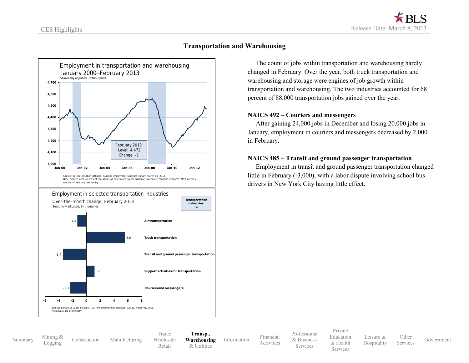<span id="page-12-0"></span>

### **Transportation and Warehousing**

 The count of jobs within transportation and warehousing hardly changed in February. Over the year, both truck transportation and warehousing and storage were engines of job growth within transportation and warehousing. The two industries accounted for 68 percent of 88,000 transportation jobs gained over the year.

### **NAICS 492 – Couriers and messengers**

 After gaining 24,000 jobs in December and losing 20,000 jobs in January, employment in couriers and messengers decreased by 2,000 in February.

### **NAICS 485 – Transit and ground passenger transportation**

 Employment in transit and ground passenger transportation changed little in February (-3,000), with a labor dispute involving school bus drivers in New York City having little effect.

[Summary](#page-1-0) [Mining](#page-4-0) &<br>Logging

[Construction](#page-5-0) [Manufacturing](#page-8-0)

Trade: [Wholesale](#page-9-0) [Retail](#page-10-0)

**[Transp.,](#page-12-0) [Warehousing](#page-12-0)** & [Utilities](#page-13-0)

[Information](#page-14-0) [Financial](#page-15-0) [Activities](#page-15-0) [Professional](#page-16-0) & [Business](#page-16-0) Services

[Private](#page-18-0) [Education](#page-18-0) [& Health](#page-18-0) Services

[Leisure](#page-19-0) & [Hospitality](#page-19-0) [Other](#page-20-0)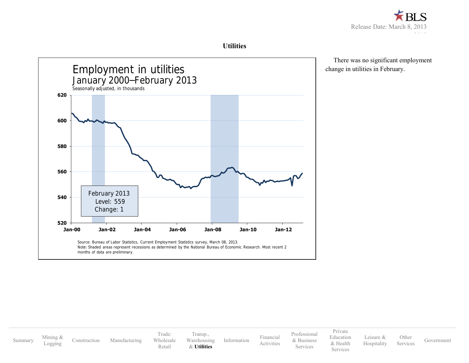

### **Utilities**

<span id="page-13-0"></span>

 There was no significant employment change in utilities in February.

[Summary](#page-1-0) [Mining](#page-4-0) &<br>Logging [Construction](#page-5-0) [Manufacturing](#page-8-0) Trade: [Wholesale](#page-9-0) [Retail](#page-10-0) [Transp.](#page-12-0), [Warehousing](#page-12-0) & **[Utilities](#page-13-0)** [Information](#page-14-0) [Financial](#page-15-0) [Activities](#page-15-0) [Professional](#page-16-0) & [Business](#page-16-0) Services [Private](#page-18-0) [Education](#page-18-0) [& Health](#page-18-0) Services [Leisure](#page-19-0) & [Hospitality](#page-19-0) [Other](#page-20-0) Services [Government](#page-21-0)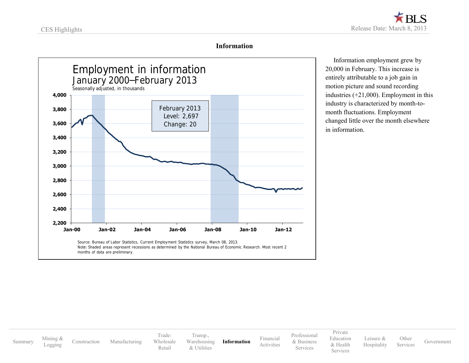

### **Information**

<span id="page-14-0"></span>

 Information employment grew by 20,000 in February. This increase is entirely attributable to a job gain in motion picture and sound recording industries (+21,000). Employment in this industry is characterized by month-tomonth fluctuations. Employment changed little over the month elsewhere in information.

[Summary](#page-1-0) [Mining](#page-4-0) &<br>Logging

[Construction](#page-5-0) [Manufacturing](#page-8-0)

Trade: [Wholesale](#page-9-0) [Retail](#page-10-0)

[Transp.](#page-12-0), [Warehousing](#page-12-0) & [Utilities](#page-13-0)

**[Information](#page-14-0)** [Financial](#page-15-0)

[Activities](#page-15-0) [Professional](#page-16-0) & [Business](#page-16-0) Services

[Private](#page-18-0) [Education](#page-18-0) [& Health](#page-18-0) **Services** 

[Leisure](#page-19-0) & [Hospitality](#page-19-0)

**[Other](#page-20-0)** Services [Government](#page-21-0)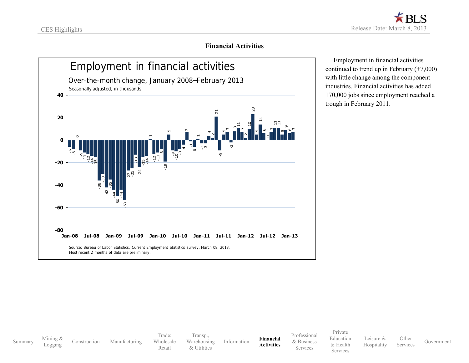

### **Financial Activities**

<span id="page-15-0"></span>

 Employment in financial activities continued to trend up in February (+7,000) with little change among the component industries. Financial activities has added 170,000 jobs since employment reached a trough in February 2011.

[Summary](#page-1-0) [Mining](#page-4-0) &<br>Logging

[Construction](#page-5-0) [Manufacturing](#page-8-0)

Trade: [Wholesale](#page-9-0) [Retail](#page-10-0)

[Transp.](#page-12-0), [Warehousing](#page-12-0) & [Utilities](#page-13-0)

[Information](#page-14-0) **[Financial](#page-15-0) [Activities](#page-15-0)**

[Professional](#page-16-0) & [Business](#page-16-0) Services

[Private](#page-18-0) [Education](#page-18-0) [& Health](#page-18-0) Services

[Leisure](#page-19-0) & [Hospitality](#page-19-0) **[Other](#page-20-0)**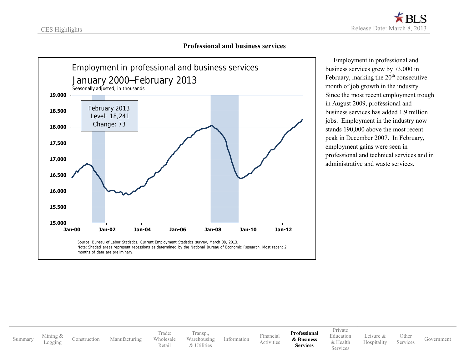

### **Professional and business services**

<span id="page-16-0"></span>

 Employment in professional and business services grew by 73,000 in February, marking the  $20<sup>th</sup>$  consecutive month of job growth in the industry. Since the most recent employment trough in August 2009, professional and business services has added 1.9 million jobs. Employment in the industry now stands 190,000 above the most recent peak in December 2007. In February, employment gains were seen in professional and technical services and in administrative and waste services.

[Summary](#page-1-0) [Mining](#page-4-0) &<br>Logging

[Construction](#page-5-0) [Manufacturing](#page-8-0)

Trade: [Wholesale](#page-9-0) [Retail](#page-10-0)

[Transp.](#page-12-0), [Warehousing](#page-12-0) & [Utilities](#page-13-0)

[Information](#page-14-0) [Financial](#page-15-0) [Activities](#page-15-0) **[Professional](#page-16-0) [& Business](#page-16-0) Services**

[Private](#page-18-0) [Education](#page-18-0) [& Health](#page-18-0)

Services

[Leisure](#page-19-0) & [Hospitality](#page-19-0) **[Other](#page-20-0)**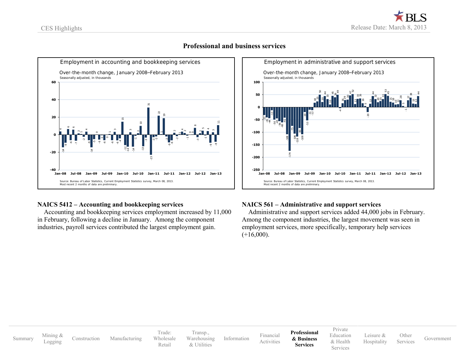

### **Professional and business services**

### **NAICS 5412 – Accounting and bookkeeping services**

 Accounting and bookkeeping services employment increased by 11,000 in February, following a decline in January. Among the component industries, payroll services contributed the largest employment gain.



### **NAICS 561 – Administrative and support services**

 Administrative and support services added 44,000 jobs in February. Among the component industries, the largest movement was seen in employment services, more specifically, temporary help services  $(+16,000)$ .

|         |                     |              |               |                                |                                             |             |                         |                                               | Private                           |                          |                   |            |
|---------|---------------------|--------------|---------------|--------------------------------|---------------------------------------------|-------------|-------------------------|-----------------------------------------------|-----------------------------------|--------------------------|-------------------|------------|
| Summary | Mining &<br>Logging | Construction | Manufacturing | l'rade:<br>Wholesale<br>Retail | Transp.,<br>Warehousing<br><i>Italities</i> | Information | Financial<br>Activities | Professional<br>& Business<br><b>Services</b> | Education<br>& Health<br>Services | Leisure &<br>Hospitality | Other<br>Services | Government |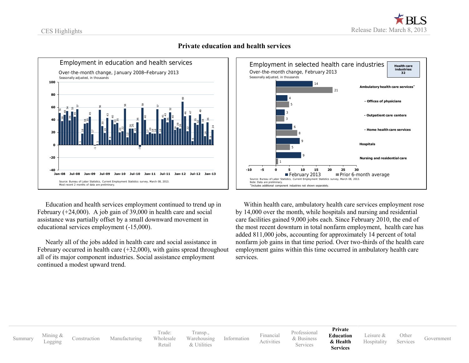<span id="page-18-0"></span>

### **Private education and health services**

 Education and health services employment continued to trend up in February (+24,000). A job gain of 39,000 in health care and social assistance was partially offset by a small downward movement in educational services employment (-15,000).

 Nearly all of the jobs added in health care and social assistance in February occurred in health care  $(+32,000)$ , with gains spread throughout all of its major component industries. Social assistance employment continued a modest upward trend.



 Within health care, ambulatory health care services employment rose by 14,000 over the month, while hospitals and nursing and residential care facilities gained 9,000 jobs each. Since February 2010, the end of the most recent downturn in total nonfarm employment, health care has added 811,000 jobs, accounting for approximately 14 percent of total nonfarm job gains in that time period. Over two-thirds of the health care employment gains within this time occurred in ambulatory health care

[Summary](#page-1-0) [Mining](#page-4-0) &<br>Logging

[Construction](#page-5-0) [Manufacturing](#page-8-0)

Trade: [Wholesale](#page-9-0) [Retail](#page-10-0) [Transp.](#page-12-0), [Warehousing](#page-12-0) & [Utilities](#page-13-0)

[Information](#page-14-0) [Financial](#page-15-0) [Activities](#page-15-0) [Professional](#page-16-0) & [Business](#page-16-0) **Services** 

**[Private](#page-18-0) [Education](#page-18-0)**

**& [Health](#page-18-0) Services**

[Leisure](#page-19-0) & **[Hospitality](#page-19-0) [Other](#page-20-0)**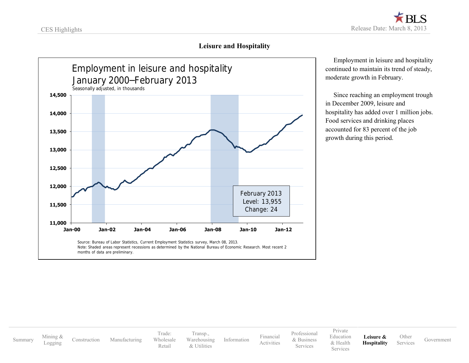

### **Leisure and Hospitality**

<span id="page-19-0"></span>

 Employment in leisure and hospitality continued to maintain its trend of steady, moderate growth in February.

 Since reaching an employment trough in December 2009, leisure and hospitality has added over 1 million jobs. Food services and drinking places accounted for 83 percent of the job growth during this period.

[Summary](#page-1-0) [Mining](#page-4-0) &<br>Logging

[Construction](#page-5-0) [Manufacturing](#page-8-0)

Trade: [Wholesale](#page-9-0) [Retail](#page-10-0) [Transp.](#page-12-0), [Warehousing](#page-12-0) & [Utilities](#page-13-0)

[Information](#page-14-0) [Financial](#page-15-0)

[Professional](#page-16-0) & [Business](#page-16-0) Services

[Activities](#page-15-0)

[Private](#page-18-0) [Education](#page-18-0) [& Health](#page-18-0) Services

**[Leisure](#page-19-0) & [Hospitality](#page-19-0) [Other](#page-20-0)**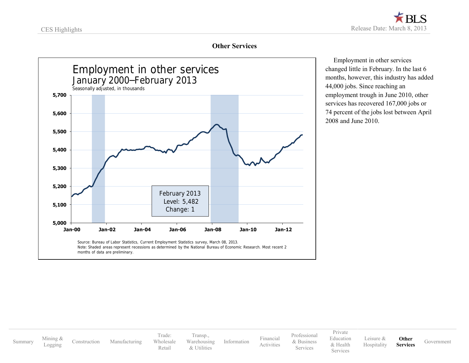

### **Other Services**

<span id="page-20-0"></span>

 Employment in other services changed little in February. In the last 6 months, however, this industry has added 44,000 jobs. Since reaching an employment trough in June 2010, other services has recovered 167,000 jobs or 74 percent of the jobs lost between April 2008 and June 2010.

[Summary](#page-1-0) [Mining](#page-4-0) &<br>Logging

[Construction](#page-5-0) [Manufacturing](#page-8-0)

Trade: [Wholesale](#page-9-0) [Retail](#page-10-0)

[Transp.](#page-12-0), [Warehousing](#page-12-0) & [Utilities](#page-13-0)

[Information](#page-14-0) [Financial](#page-15-0)

[Activities](#page-15-0)

[Professional](#page-16-0) & [Business](#page-16-0) Services

[Private](#page-18-0) [Education](#page-18-0) [& Health](#page-18-0) **Services** [Leisure](#page-19-0) & [Hospitality](#page-19-0)

**[Other](#page-20-0)**

**Services** [Government](#page-21-0)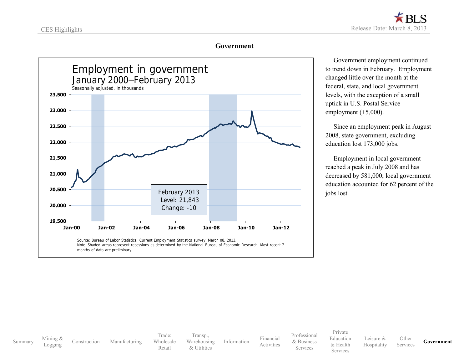### **Government**

<span id="page-21-0"></span>

 Government employment continued to trend down in February. Employment changed little over the month at the federal, state, and local government levels, with the exception of a small uptick in U.S. Postal Service employment  $(+5,000)$ .

 Since an employment peak in August 2008, state government, excluding education lost 173,000 jobs.

 Employment in local government reached a peak in July 2008 and has decreased by 581,000; local government education accounted for 62 percent of the jobs lost.

[Summary](#page-1-0) [Mining](#page-4-0) &<br>Logging

[Construction](#page-5-0) [Manufacturing](#page-8-0)

Trade: [Wholesale](#page-9-0) [Retail](#page-10-0)

[Transp.](#page-12-0), [Warehousing](#page-12-0) & [Utilities](#page-13-0)

[Information](#page-14-0) [Financial](#page-15-0) [Activities](#page-15-0) [Professional](#page-16-0) & [Business](#page-16-0) Services

[Private](#page-18-0) [Education](#page-18-0) [& Health](#page-18-0) **Services** 

[Leisure](#page-19-0) & [Hospitality](#page-19-0) **[Other](#page-20-0)** 

Services **[Government](#page-21-0)**